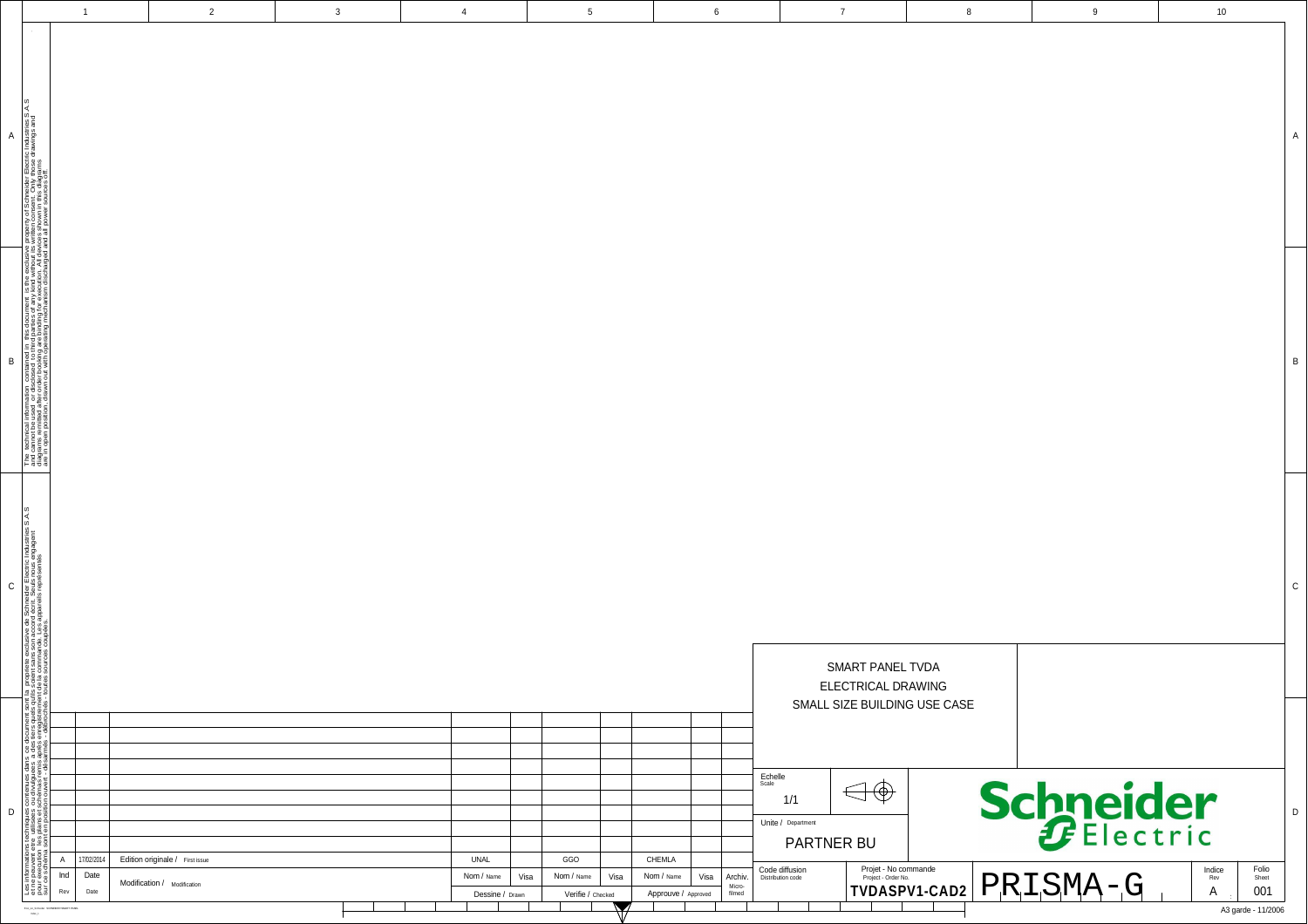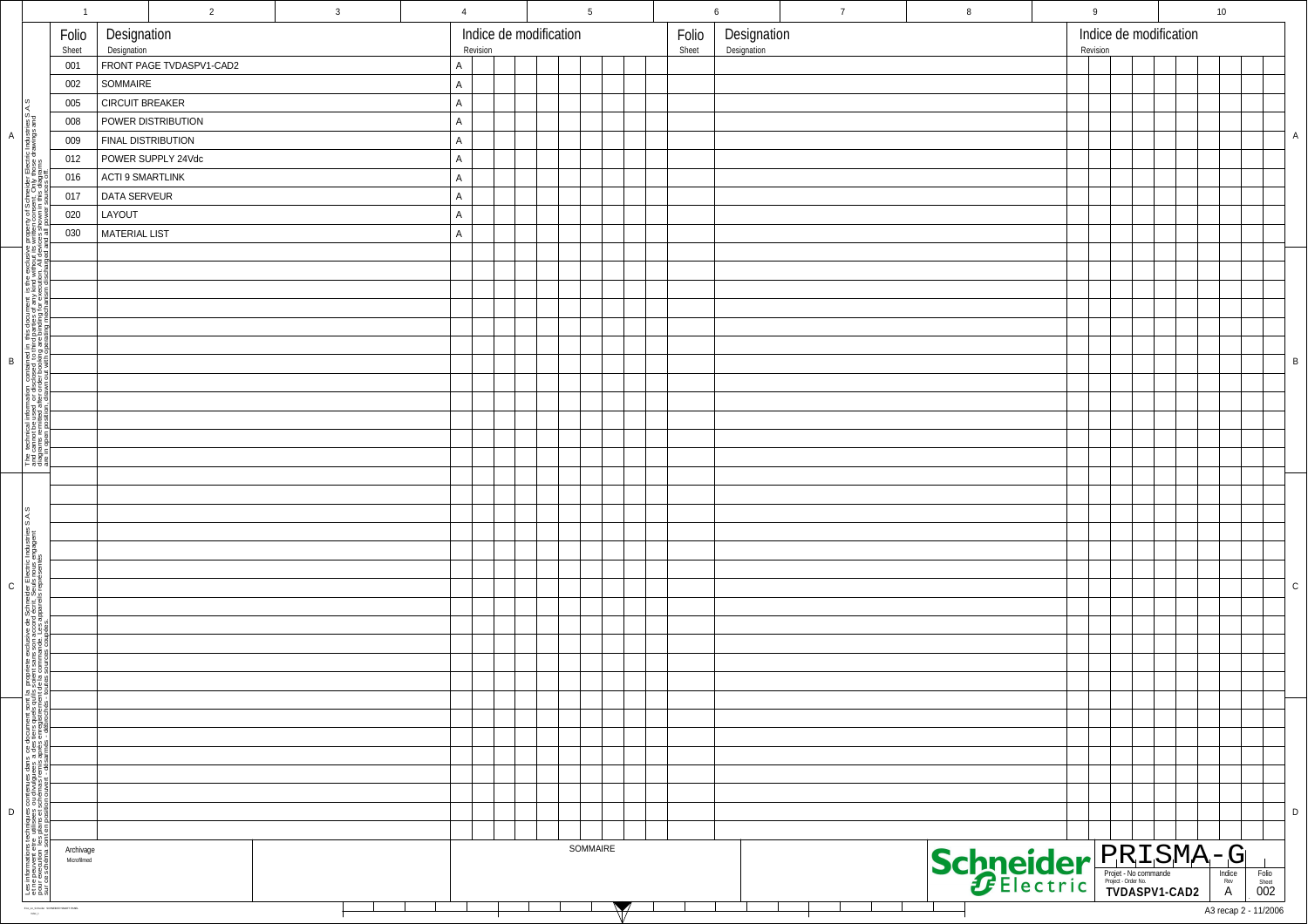|                                                                                                                                                                                                                                         | $\overline{1}$                       |                                        | $\overline{2}$            | $\mathbf{3}$                                         | $\overline{4}$ |  |  |  | $5\overline{)}$ |  |  |  |                            | 6        | $\overline{7}$         | 8                  | 9 |  |  |  | 10                   |  |                |              |
|-----------------------------------------------------------------------------------------------------------------------------------------------------------------------------------------------------------------------------------------|--------------------------------------|----------------------------------------|---------------------------|------------------------------------------------------|----------------|--|--|--|-----------------|--|--|--|----------------------------|----------|------------------------|--------------------|---|--|--|--|----------------------|--|----------------|--------------|
| Folio<br>Sheet                                                                                                                                                                                                                          |                                      | Designation<br>Designation             |                           | Indice de modification<br>Folio<br>Revision<br>Sheet |                |  |  |  |                 |  |  |  | Designation<br>Designation | Revision | Indice de modification |                    |   |  |  |  |                      |  |                |              |
|                                                                                                                                                                                                                                         | 001                                  | FRONT PAGE TVDASPV1-CAD2               |                           |                                                      |                |  |  |  |                 |  |  |  |                            |          |                        |                    |   |  |  |  |                      |  |                |              |
|                                                                                                                                                                                                                                         | 002                                  | SOMMAIRE                               |                           |                                                      | $\mathsf{A}$   |  |  |  |                 |  |  |  |                            |          |                        |                    |   |  |  |  |                      |  |                |              |
| ΑS.                                                                                                                                                                                                                                     | 005                                  | <b>CIRCUIT BREAKER</b><br>$\mathsf{A}$ |                           |                                                      |                |  |  |  |                 |  |  |  |                            |          |                        |                    |   |  |  |  |                      |  |                |              |
|                                                                                                                                                                                                                                         | 008                                  |                                        | POWER DISTRIBUTION        |                                                      | $\mathsf{A}$   |  |  |  |                 |  |  |  |                            |          |                        |                    |   |  |  |  |                      |  |                |              |
|                                                                                                                                                                                                                                         | 009                                  |                                        | <b>FINAL DISTRIBUTION</b> |                                                      | $\mathsf{A}$   |  |  |  |                 |  |  |  |                            |          |                        |                    |   |  |  |  |                      |  |                | $\mathsf{A}$ |
|                                                                                                                                                                                                                                         | 012                                  |                                        | POWER SUPPLY 24Vdc        |                                                      | $\mathsf{A}$   |  |  |  |                 |  |  |  |                            |          |                        |                    |   |  |  |  |                      |  |                |              |
| der Electric Industries S<br>nly those drawings and<br>diagrams                                                                                                                                                                         | 016                                  | ACTI 9 SMARTLINK                       |                           |                                                      | $\mathsf{A}$   |  |  |  |                 |  |  |  |                            |          |                        |                    |   |  |  |  |                      |  |                |              |
|                                                                                                                                                                                                                                         | 017                                  | DATA SERVEUR                           |                           |                                                      | $\mathsf{A}$   |  |  |  |                 |  |  |  |                            |          |                        |                    |   |  |  |  |                      |  |                |              |
|                                                                                                                                                                                                                                         | 020                                  | LAYOUT                                 |                           |                                                      | $\mathsf{A}$   |  |  |  |                 |  |  |  |                            |          |                        |                    |   |  |  |  |                      |  |                |              |
|                                                                                                                                                                                                                                         | 030                                  | MATERIAL LIST                          |                           |                                                      | $\mathsf{A}$   |  |  |  |                 |  |  |  |                            |          |                        |                    |   |  |  |  |                      |  |                |              |
| clusive<br>put its<br>All devia<br>arged a                                                                                                                                                                                              |                                      |                                        |                           |                                                      |                |  |  |  |                 |  |  |  |                            |          |                        |                    |   |  |  |  |                      |  |                |              |
|                                                                                                                                                                                                                                         |                                      |                                        |                           |                                                      |                |  |  |  |                 |  |  |  |                            |          |                        |                    |   |  |  |  |                      |  |                |              |
| any kind<br>ar executi                                                                                                                                                                                                                  |                                      |                                        |                           |                                                      |                |  |  |  |                 |  |  |  |                            |          |                        |                    |   |  |  |  |                      |  |                |              |
|                                                                                                                                                                                                                                         |                                      |                                        |                           |                                                      |                |  |  |  |                 |  |  |  |                            |          |                        |                    |   |  |  |  |                      |  |                |              |
| 롭                                                                                                                                                                                                                                       |                                      |                                        |                           |                                                      |                |  |  |  |                 |  |  |  |                            |          |                        |                    |   |  |  |  |                      |  |                |              |
|                                                                                                                                                                                                                                         |                                      |                                        |                           |                                                      |                |  |  |  |                 |  |  |  |                            |          |                        |                    |   |  |  |  |                      |  |                |              |
| closed to the<br>Let booking<br>Out with                                                                                                                                                                                                |                                      |                                        |                           |                                                      |                |  |  |  |                 |  |  |  |                            |          |                        |                    |   |  |  |  |                      |  |                | $\, {\sf B}$ |
|                                                                                                                                                                                                                                         |                                      |                                        |                           |                                                      |                |  |  |  |                 |  |  |  |                            |          |                        |                    |   |  |  |  |                      |  |                |              |
|                                                                                                                                                                                                                                         |                                      |                                        |                           |                                                      |                |  |  |  |                 |  |  |  |                            |          |                        |                    |   |  |  |  |                      |  |                |              |
|                                                                                                                                                                                                                                         |                                      |                                        |                           |                                                      |                |  |  |  |                 |  |  |  |                            |          |                        |                    |   |  |  |  |                      |  |                |              |
| a technical information of the standard of the discline of the period of the period of the period of the period of the period of the period of the period of the period of the period of the period of the period of the perio          |                                      |                                        |                           |                                                      |                |  |  |  |                 |  |  |  |                            |          |                        |                    |   |  |  |  |                      |  |                |              |
| Fe<br>Fage<br>Fege                                                                                                                                                                                                                      |                                      |                                        |                           |                                                      |                |  |  |  |                 |  |  |  |                            |          |                        |                    |   |  |  |  |                      |  |                |              |
|                                                                                                                                                                                                                                         |                                      |                                        |                           |                                                      |                |  |  |  |                 |  |  |  |                            |          |                        |                    |   |  |  |  |                      |  |                |              |
|                                                                                                                                                                                                                                         |                                      |                                        |                           |                                                      |                |  |  |  |                 |  |  |  |                            |          |                        |                    |   |  |  |  |                      |  |                |              |
| S.A.S                                                                                                                                                                                                                                   |                                      |                                        |                           |                                                      |                |  |  |  |                 |  |  |  |                            |          |                        |                    |   |  |  |  |                      |  |                |              |
|                                                                                                                                                                                                                                         |                                      |                                        |                           |                                                      |                |  |  |  |                 |  |  |  |                            |          |                        |                    |   |  |  |  |                      |  |                |              |
| e Schneider Electric Industries<br>rd écrit. Seuls nous engagent<br>appareils représentés                                                                                                                                               |                                      |                                        |                           |                                                      |                |  |  |  |                 |  |  |  |                            |          |                        |                    |   |  |  |  |                      |  |                |              |
|                                                                                                                                                                                                                                         |                                      |                                        |                           |                                                      |                |  |  |  |                 |  |  |  |                            |          |                        |                    |   |  |  |  |                      |  |                |              |
|                                                                                                                                                                                                                                         |                                      |                                        |                           |                                                      |                |  |  |  |                 |  |  |  |                            |          |                        |                    |   |  |  |  |                      |  |                | ${\rm c}$    |
|                                                                                                                                                                                                                                         |                                      |                                        |                           |                                                      |                |  |  |  |                 |  |  |  |                            |          |                        |                    |   |  |  |  |                      |  |                |              |
| on acco<br>son acco<br>ande. Les<br>s coupée                                                                                                                                                                                            |                                      |                                        |                           |                                                      |                |  |  |  |                 |  |  |  |                            |          |                        |                    |   |  |  |  |                      |  |                |              |
|                                                                                                                                                                                                                                         |                                      |                                        |                           |                                                      |                |  |  |  |                 |  |  |  |                            |          |                        |                    |   |  |  |  |                      |  |                |              |
| ate ex<br>sans<br>mma                                                                                                                                                                                                                   |                                      |                                        |                           |                                                      |                |  |  |  |                 |  |  |  |                            |          |                        |                    |   |  |  |  |                      |  |                |              |
| Proprie<br>solent<br>de la co<br>putes solu                                                                                                                                                                                             |                                      |                                        |                           |                                                      |                |  |  |  |                 |  |  |  |                            |          |                        |                    |   |  |  |  |                      |  |                |              |
|                                                                                                                                                                                                                                         |                                      |                                        |                           |                                                      |                |  |  |  |                 |  |  |  |                            |          |                        |                    |   |  |  |  |                      |  |                |              |
|                                                                                                                                                                                                                                         |                                      |                                        |                           |                                                      |                |  |  |  |                 |  |  |  |                            |          |                        |                    |   |  |  |  |                      |  |                |              |
|                                                                                                                                                                                                                                         |                                      |                                        |                           |                                                      |                |  |  |  |                 |  |  |  |                            |          |                        |                    |   |  |  |  |                      |  |                |              |
|                                                                                                                                                                                                                                         |                                      |                                        |                           |                                                      |                |  |  |  |                 |  |  |  |                            |          |                        |                    |   |  |  |  |                      |  |                |              |
|                                                                                                                                                                                                                                         |                                      |                                        |                           |                                                      |                |  |  |  |                 |  |  |  |                            |          |                        |                    |   |  |  |  |                      |  |                |              |
|                                                                                                                                                                                                                                         |                                      |                                        |                           |                                                      |                |  |  |  |                 |  |  |  |                            |          |                        |                    |   |  |  |  |                      |  |                |              |
|                                                                                                                                                                                                                                         |                                      |                                        |                           |                                                      |                |  |  |  |                 |  |  |  |                            |          |                        |                    |   |  |  |  |                      |  |                | D            |
|                                                                                                                                                                                                                                         |                                      |                                        |                           |                                                      |                |  |  |  |                 |  |  |  |                            |          |                        |                    |   |  |  |  |                      |  |                |              |
|                                                                                                                                                                                                                                         | Archivage<br>Microfilmed             |                                        |                           |                                                      | SOMMAIRE       |  |  |  |                 |  |  |  |                            |          |                        |                    |   |  |  |  |                      |  |                |              |
| Les informations techniques contenues dans ce document sont la<br>et ne peuvent etre utilisees ou divulguees a des tiers quels quits<br>sur ce schéma sont en position ouvert - désamés - débrochés - to<br>sur ce schéma sont en posit |                                      |                                        |                           |                                                      |                |  |  |  |                 |  |  |  |                            |          |                        | Schneider PRISMA-G |   |  |  |  |                      |  | Folio<br>Sheet |              |
|                                                                                                                                                                                                                                         |                                      |                                        |                           |                                                      |                |  |  |  |                 |  |  |  |                            |          |                        |                    |   |  |  |  |                      |  | 002            |              |
|                                                                                                                                                                                                                                         | ENCICEMINE SONEDERSMATPANE<br>Interf |                                        |                           |                                                      |                |  |  |  |                 |  |  |  |                            |          |                        |                    |   |  |  |  | A3 recap 2 - 11/2006 |  |                |              |

A

B

 $\,$  C  $\,$ 

D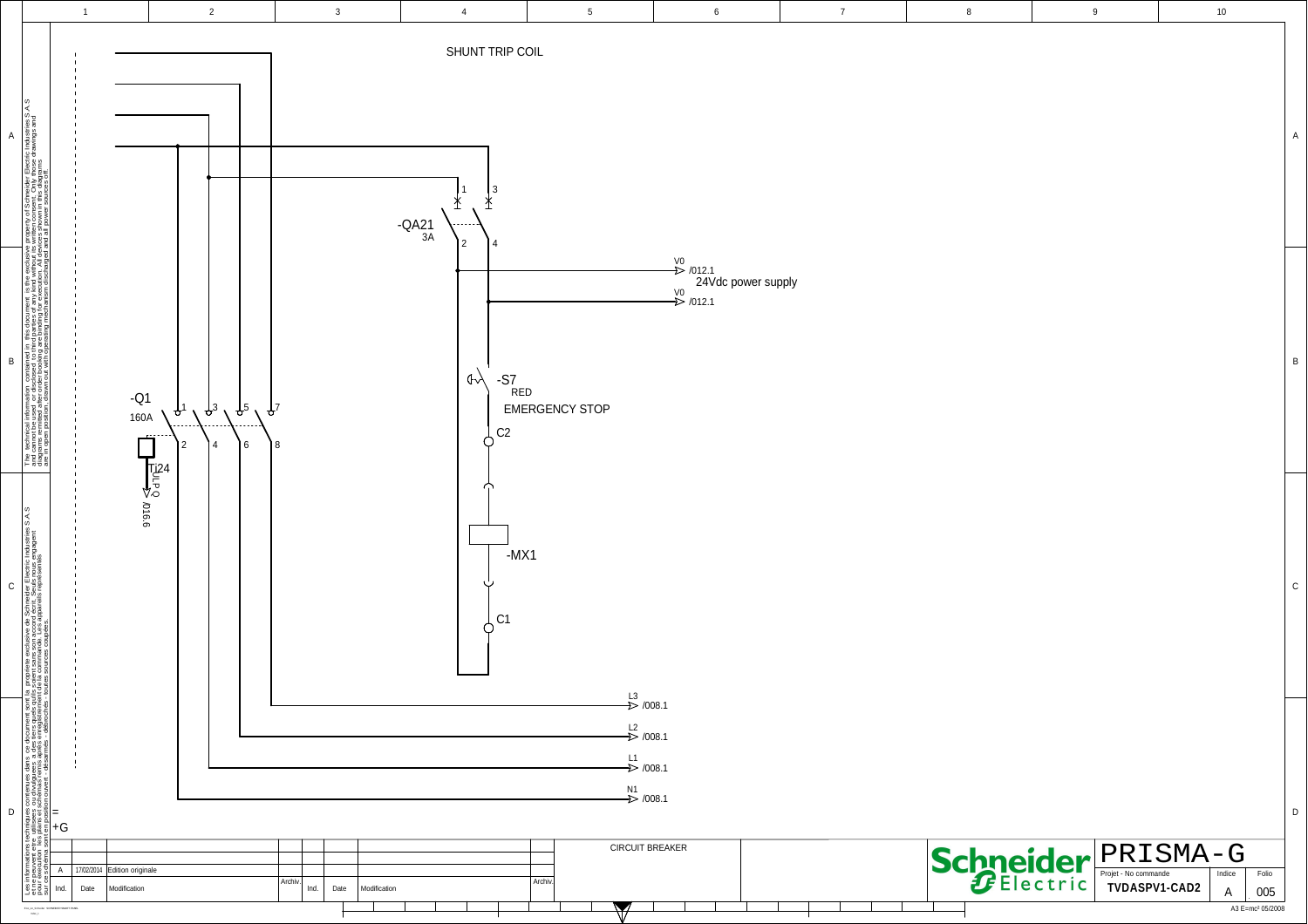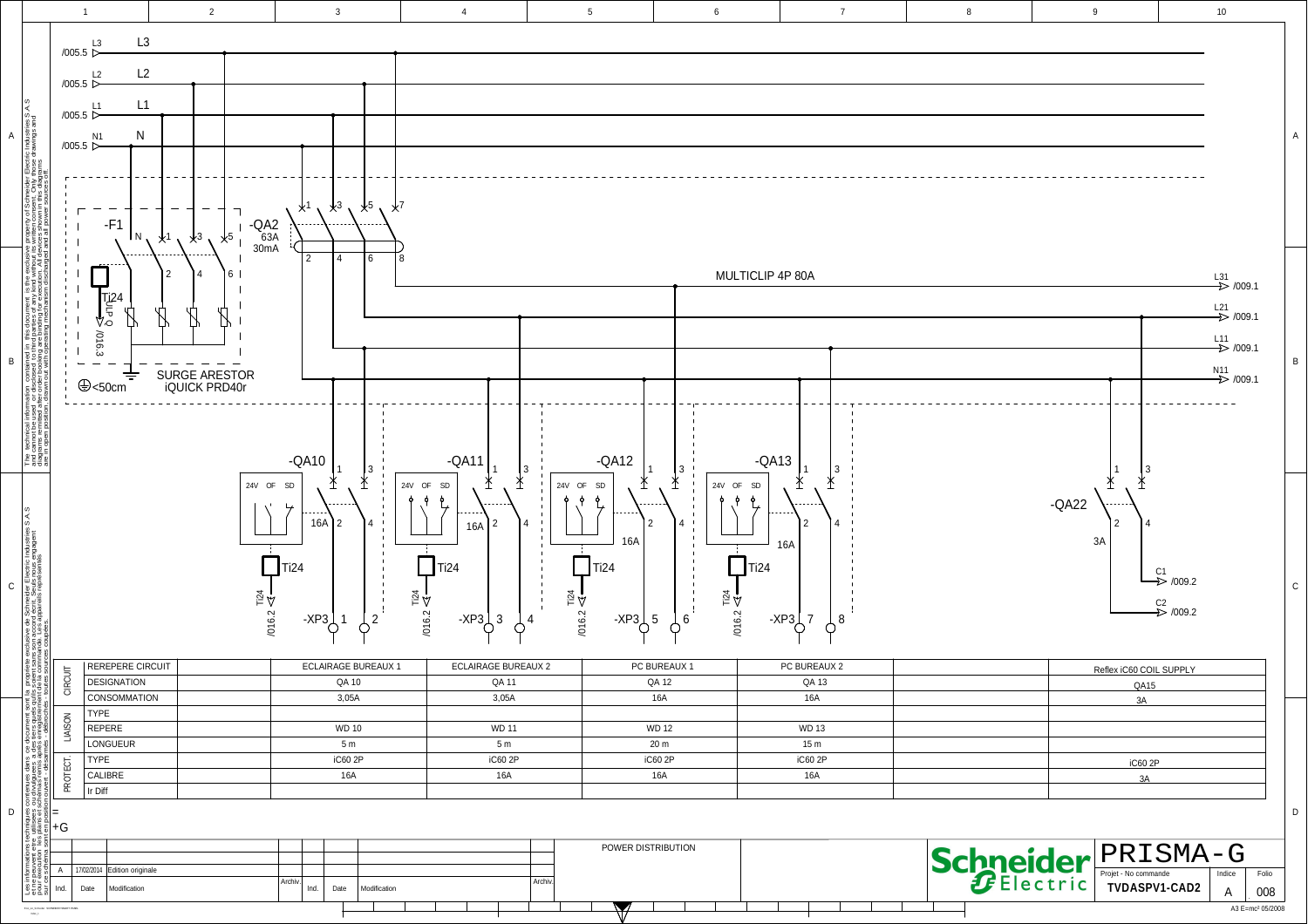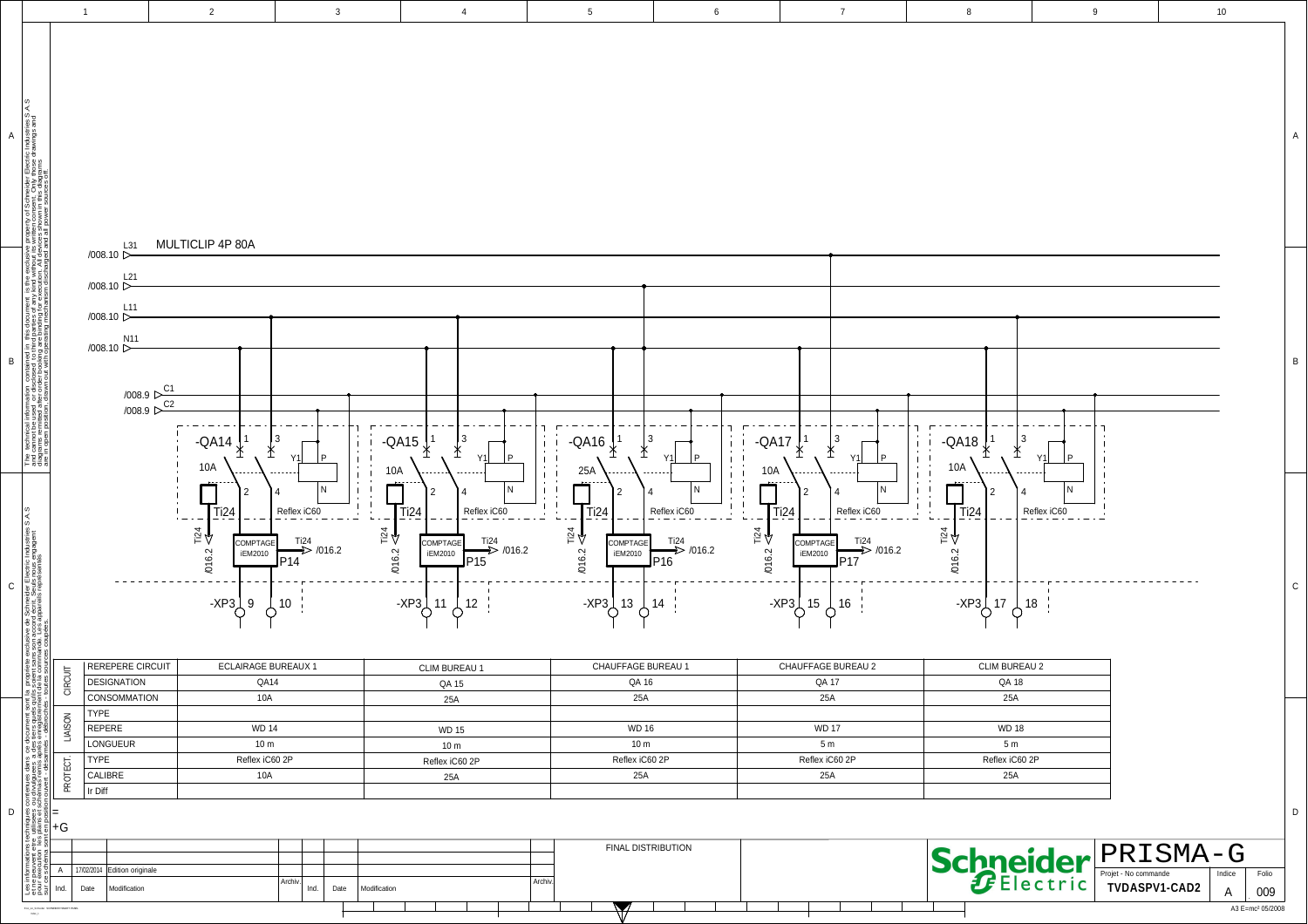|             |                                                                                                                                                                                                                                                                  | $\overline{1}$                                                                                                                     | $\overline{2}$                                                                                                | $\mathbf{3}$                                                                             |                                          | $\overline{4}$                                                                                                                     | $5\phantom{.0}$                                                        |                                                                                         | $\,6\,$                                                          |                                                  | $\overline{7}$                                                      |                                                 | 8                                                                     |                                             |                     | $\boldsymbol{9}$ | $10\,$                       |   |
|-------------|------------------------------------------------------------------------------------------------------------------------------------------------------------------------------------------------------------------------------------------------------------------|------------------------------------------------------------------------------------------------------------------------------------|---------------------------------------------------------------------------------------------------------------|------------------------------------------------------------------------------------------|------------------------------------------|------------------------------------------------------------------------------------------------------------------------------------|------------------------------------------------------------------------|-----------------------------------------------------------------------------------------|------------------------------------------------------------------|--------------------------------------------------|---------------------------------------------------------------------|-------------------------------------------------|-----------------------------------------------------------------------|---------------------------------------------|---------------------|------------------|------------------------------|---|
| $\mathsf A$ |                                                                                                                                                                                                                                                                  |                                                                                                                                    | MULTICLIP 4P 80A                                                                                              |                                                                                          |                                          |                                                                                                                                    |                                                                        |                                                                                         |                                                                  |                                                  |                                                                     |                                                 |                                                                       |                                             |                     |                  |                              |   |
| $\mathsf B$ | rechnical information contained in this document is the exclusive property of Schneider Electric Industries S.A.S<br>cannot be used or disclosed: to third parties of any kind without its written consent. Only those drawings a<br>$E_{\text{eff}}$            | L31<br>/008.10 ▷<br>$\frac{L21}{1008.10}$<br>$\frac{L11}{1008.10}$<br>$\frac{N11}{N008.10}$<br>$\frac{\sqrt{008.9}}{\sqrt{008.9}}$ | $-QA14$<br>∤<br>10A                                                                                           | $\frac{1}{4}$<br>P<br>Y1                                                                 | ţ<br>-QA15 $\chi$<br>$\mathbf{I}$<br>10A | $\frac{1}{4}$ <sup>3</sup><br>P.<br><b>Y1</b>                                                                                      | $-QA16 \times$<br>$\mathbf{I}$<br>25A                                  | $\frac{1}{4}$                                                                           | $\mathbf{I}$<br>P<br>Y1                                          | $-QA17$<br>$10A$                                 | $\frac{1}{4}$ <sup>3</sup><br>$\ast$                                | Y1<br>P                                         | $-QA18 \nbrace{\nbrace{\nbrace{\nbrace}}^{1}$<br>$\frac{1}{1}$<br>10A | $\frac{1}{4}$                               | P<br>Y <sub>1</sub> |                  |                              | B |
| ${\bf c}$   | la propriete exclusive de Schmelder Electric Industries S.A.S<br>18 solent sans son accord écrit. Seuls nous engagent<br>10 se sources coupées appareils représentés                                                                                             | <b>REREPERE CIRCUIT</b>                                                                                                            | $\prod_{\overline{1}\,\underline{1}\, 24}$<br>$\frac{124}{1016.2}$<br>COMPTAGE<br>iEM2010<br>-XP3 $\bigcup$ 9 | N<br>Reflex iC60<br>$\frac{Ti24}{T}$ /016.2<br>P14<br>$\phi^{10}$<br>ECLAIRAGE BUREAUX 1 | $\prod_{T:24}$<br>$\frac{124}{1016.2}$   | N<br>Reflex $iC60$<br>$\rightarrow$ /016.2<br>COMPTAGE<br>iEM2010<br>P <sub>15</sub><br>$-XP3$ 11 $\leftarrow$ 12<br>CLIM BUREAU 1 | $\prod_{\substack{\text{I}^{24}}$<br>$\mathbf{I}$<br>$\frac{124}{124}$ | COMPTAGE<br>iEM2010<br>$-XP3$ $\bigcup$ 13 $\bigcup$ 14 $\bigcup$<br>CHAUFFAGE BUREAU 1 | N<br>Reflex $iC60$<br>$\frac{Ti24}{D}$ /016.2<br>P <sub>16</sub> | $\prod_{\bar{1}:\bar{24}}$<br>$\frac{124}{1124}$ | COMPTAGE<br>iEM2010<br>$-XP3$ 15 $\bigcup$ 16<br>CHAUFFAGE BUREAU 2 | Reflex $iC60$<br>$\frac{Ti24}{T}$ /016.2<br>P17 | $\prod_{\overline{1}\,i24}$<br>$\mathbf{I}$<br>$\frac{124}{124}$      | $-XP3$ 17 $\bigcup$ 18<br>CLIM BUREAU 2     | N<br>Reflex iC60    |                  |                              |   |
|             | CIRCUIT                                                                                                                                                                                                                                                          | <b>DESIGNATION</b><br><b>CONSOMMATION</b>                                                                                          |                                                                                                               | QA14<br>10A                                                                              |                                          | QA 15                                                                                                                              |                                                                        | QA 16<br>25A                                                                            |                                                                  |                                                  | QA 17<br>25A                                                        |                                                 |                                                                       | QA 18<br>25A                                |                     |                  |                              |   |
|             | Normations techniques contenues dans $\alpha$ document som<br>seculton les plans et schemas rents après en registrements<br>seculton les plans et schemas rents après en registrements<br>seculents sont en position couvert : disammés :<br>LIAISON<br>PROTECT. | TYPE<br>REPERE<br><b>LONGUEUR</b><br><b>TYPE</b><br>CALIBRE<br>Ir Diff                                                             |                                                                                                               | <b>WD 14</b><br>10 <sub>m</sub><br>Reflex iC60 2P<br>10A                                 |                                          | 25A<br><b>WD 15</b><br>10 <sub>m</sub><br>Reflex iC60 2P<br>25A                                                                    |                                                                        | <b>WD 16</b><br>10 <sub>m</sub><br>Reflex iC60 2P<br>25A                                |                                                                  |                                                  | <b>WD 17</b><br>5m<br>Reflex iC60 2P<br>25A                         |                                                 |                                                                       | <b>WD 18</b><br>5m<br>Reflex iC60 2P<br>25A |                     |                  |                              |   |
| D           |                                                                                                                                                                                                                                                                  |                                                                                                                                    |                                                                                                               |                                                                                          |                                          |                                                                                                                                    |                                                                        | <b>FINAL DISTRIBUTION</b>                                                               |                                                                  |                                                  |                                                                     |                                                 |                                                                       |                                             |                     |                  |                              | D |
|             | Les ir<br>at nour<br>at nour<br>Ind.                                                                                                                                                                                                                             | 17/02/2014 Edition originale<br>Modification<br>Date                                                                               |                                                                                                               | Archiv.<br>Date<br>Ind.                                                                  | Modification                             |                                                                                                                                    | Archiv.                                                                |                                                                                         |                                                                  |                                                  |                                                                     |                                                 |                                                                       |                                             | Schneider PRISMA-G  |                  | Folio<br>A<br>009            |   |
|             | Elsi, inc.fabiole                                                                                                                                                                                                                                                |                                                                                                                                    |                                                                                                               |                                                                                          |                                          |                                                                                                                                    |                                                                        |                                                                                         |                                                                  |                                                  |                                                                     |                                                 |                                                                       |                                             |                     |                  | A3 E=mc <sup>2</sup> 05/2008 |   |
|             |                                                                                                                                                                                                                                                                  |                                                                                                                                    |                                                                                                               |                                                                                          |                                          |                                                                                                                                    |                                                                        |                                                                                         |                                                                  |                                                  |                                                                     |                                                 |                                                                       |                                             |                     |                  |                              |   |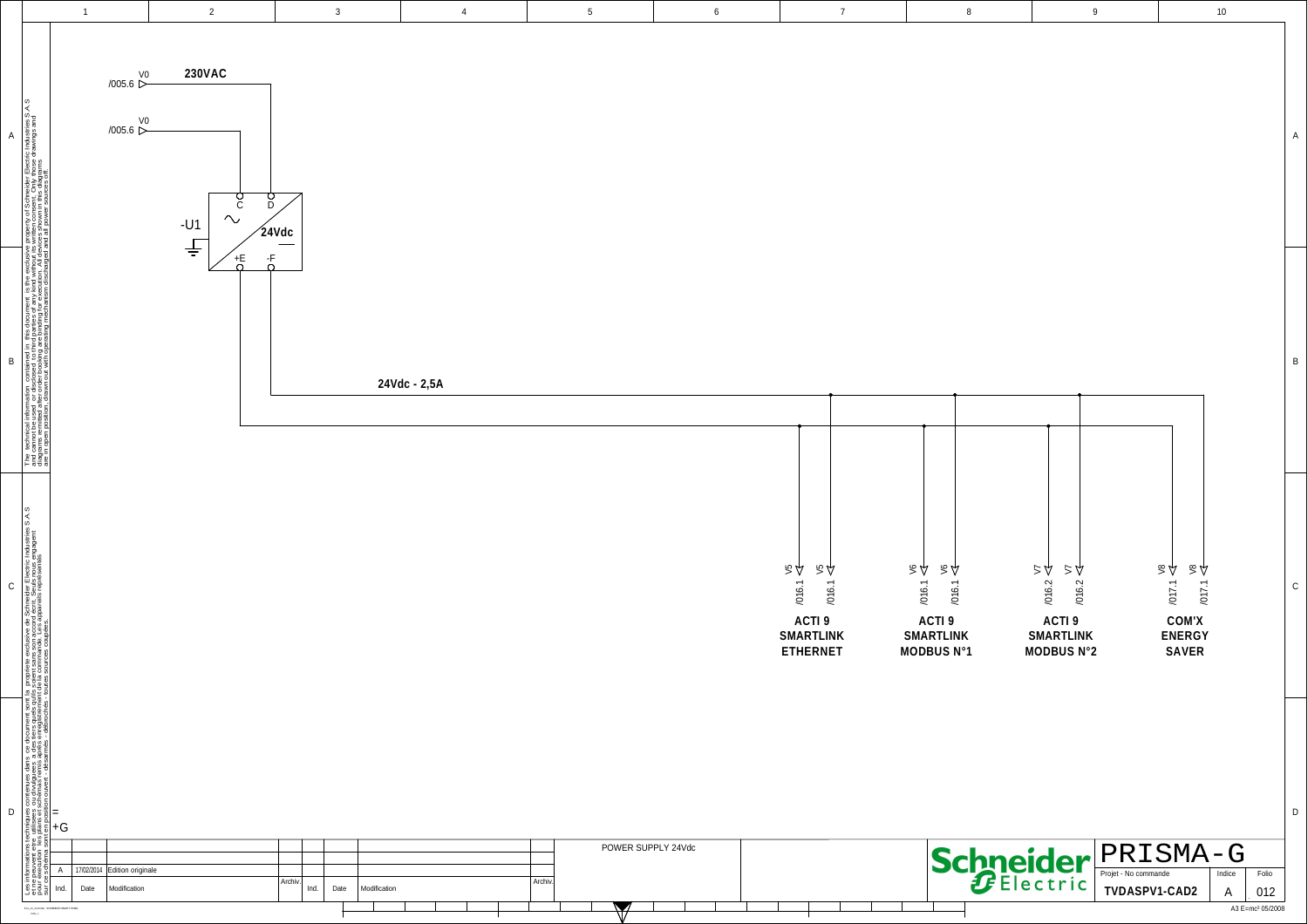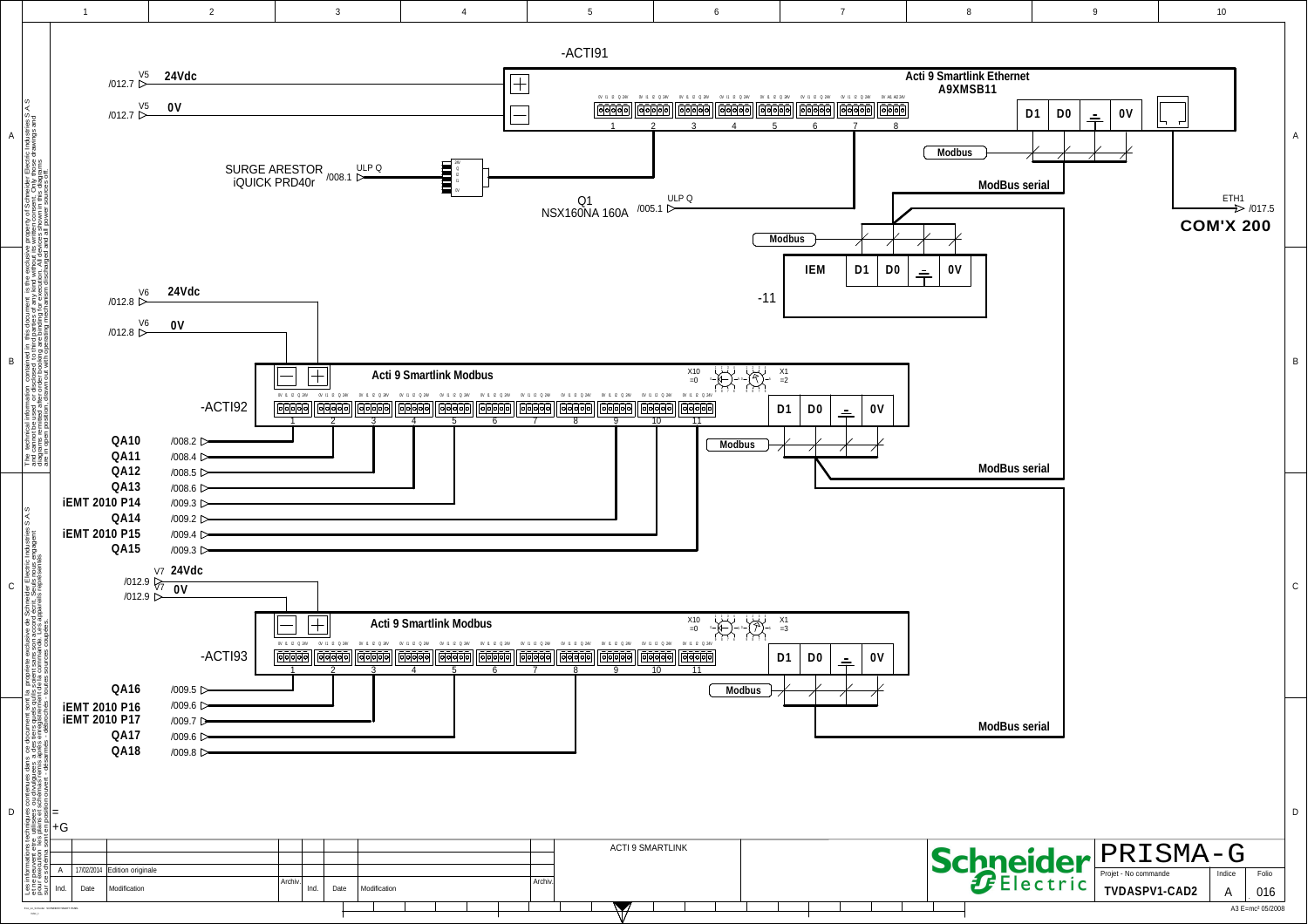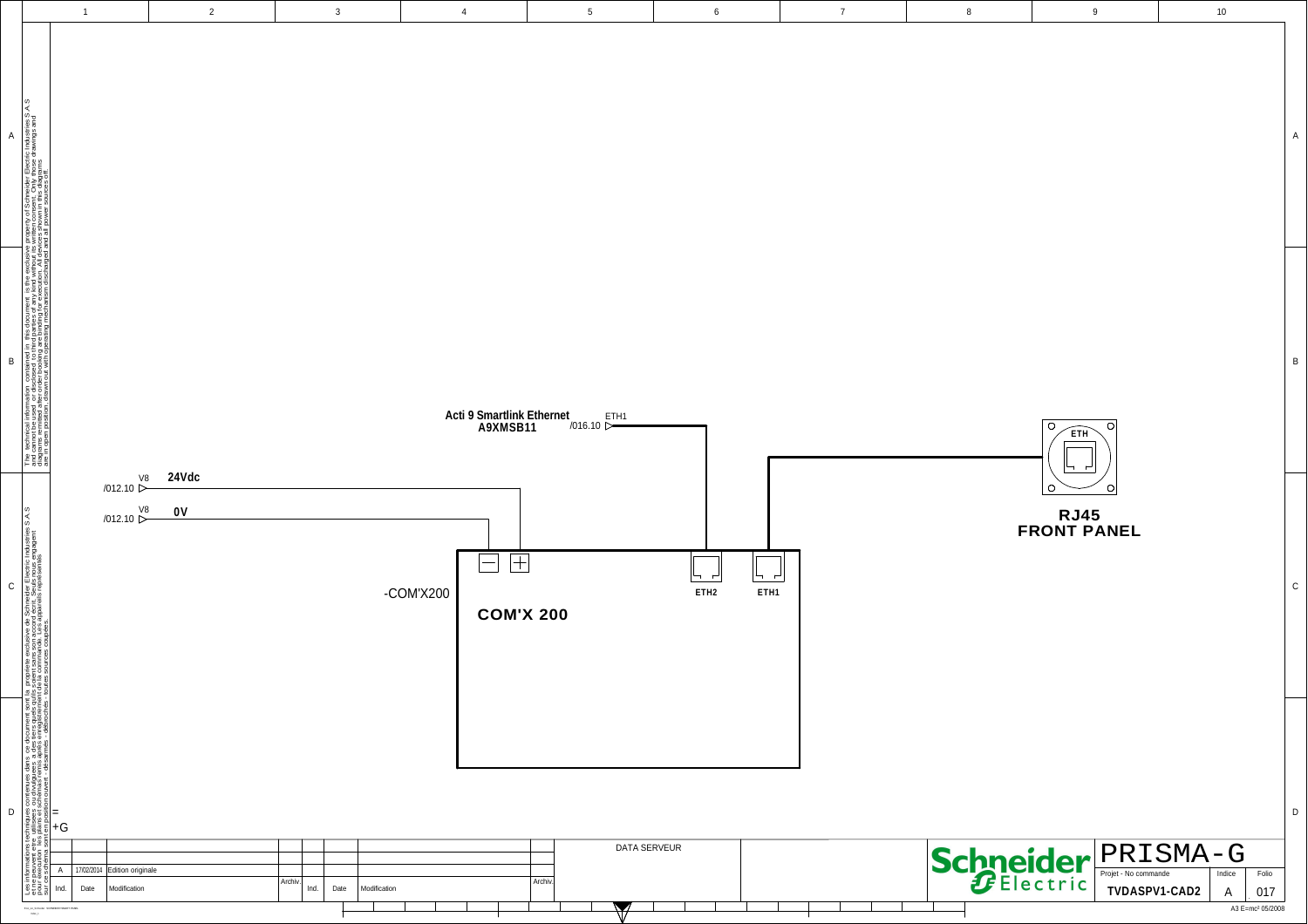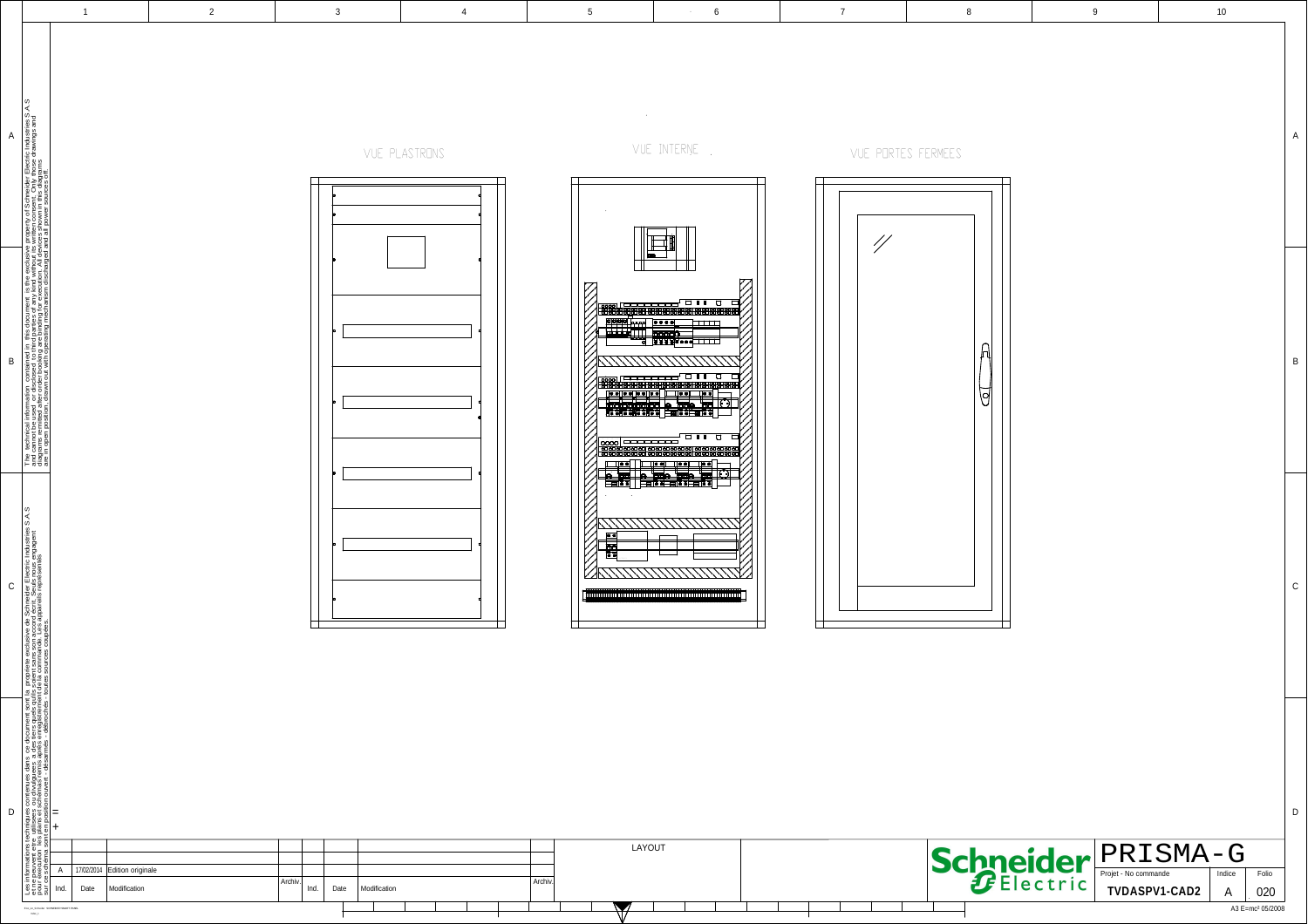